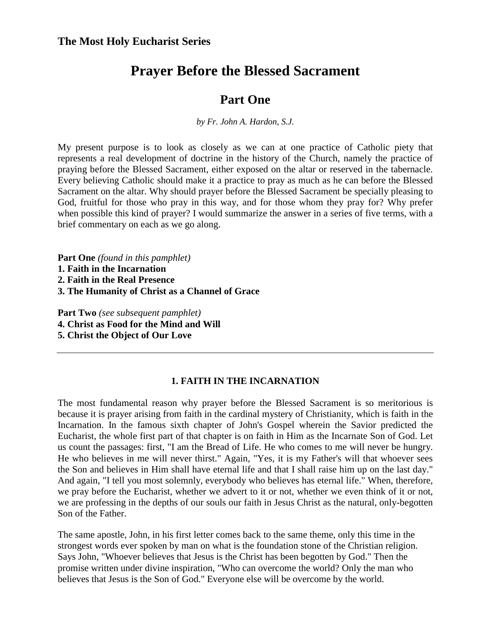# **Prayer Before the Blessed Sacrament**

## **Part One**

*by Fr. John A. Hardon, S.J.* 

My present purpose is to look as closely as we can at one practice of Catholic piety that represents a real development of doctrine in the history of the Church, namely the practice of praying before the Blessed Sacrament, either exposed on the altar or reserved in the tabernacle. Every believing Catholic should make it a practice to pray as much as he can before the Blessed Sacrament on the altar. Why should prayer before the Blessed Sacrament be specially pleasing to God, fruitful for those who pray in this way, and for those whom they pray for? Why prefer when possible this kind of prayer? I would summarize the answer in a series of five terms, with a brief commentary on each as we go along.

**Part One** *(found in this pamphlet)* 

- **1. Faith in the Incarnation**
- **2. Faith in the Real Presence**
- **3. The Humanity of Christ as a Channel of Grace**

**Part Two** *(see subsequent pamphlet)*  **4. Christ as Food for the Mind and Will 5. Christ the Object of Our Love** 

### **1. FAITH IN THE INCARNATION**

The most fundamental reason why prayer before the Blessed Sacrament is so meritorious is because it is prayer arising from faith in the cardinal mystery of Christianity, which is faith in the Incarnation. In the famous sixth chapter of John's Gospel wherein the Savior predicted the Eucharist, the whole first part of that chapter is on faith in Him as the Incarnate Son of God. Let us count the passages: first, "I am the Bread of Life. He who comes to me will never be hungry. He who believes in me will never thirst." Again, "Yes, it is my Father's will that whoever sees the Son and believes in Him shall have eternal life and that I shall raise him up on the last day." And again, "I tell you most solemnly, everybody who believes has eternal life." When, therefore, we pray before the Eucharist, whether we advert to it or not, whether we even think of it or not, we are professing in the depths of our souls our faith in Jesus Christ as the natural, only-begotten Son of the Father.

The same apostle, John, in his first letter comes back to the same theme, only this time in the strongest words ever spoken by man on what is the foundation stone of the Christian religion. Says John, "Whoever believes that Jesus is the Christ has been begotten by God." Then the promise written under divine inspiration, "Who can overcome the world? Only the man who believes that Jesus is the Son of God." Everyone else will be overcome by the world.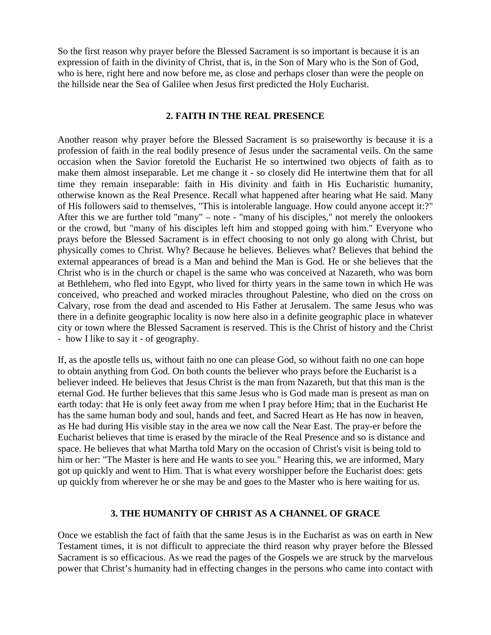So the first reason why prayer before the Blessed Sacrament is so important is because it is an expression of faith in the divinity of Christ, that is, in the Son of Mary who is the Son of God, who is here, right here and now before me, as close and perhaps closer than were the people on the hillside near the Sea of Galilee when Jesus first predicted the Holy Eucharist.

#### **2. FAITH IN THE REAL PRESENCE**

Another reason why prayer before the Blessed Sacrament is so praiseworthy is because it is a profession of faith in the real bodily presence of Jesus under the sacramental veils. On the same occasion when the Savior foretold the Eucharist He so intertwined two objects of faith as to make them almost inseparable. Let me change it - so closely did He intertwine them that for all time they remain inseparable: faith in His divinity and faith in His Eucharistic humanity, otherwise known as the Real Presence. Recall what happened after hearing what He said. Many of His followers said to themselves, "This is intolerable language. How could anyone accept it:?" After this we are further told "many" – note - "many of his disciples," not merely the onlookers or the crowd, but "many of his disciples left him and stopped going with him." Everyone who prays before the Blessed Sacrament is in effect choosing to not only go along with Christ, but physically comes to Christ. Why? Because he believes. Believes what? Believes that behind the external appearances of bread is a Man and behind the Man is God. He or she believes that the Christ who is in the church or chapel is the same who was conceived at Nazareth, who was born at Bethlehem, who fled into Egypt, who lived for thirty years in the same town in which He was conceived, who preached and worked miracles throughout Palestine, who died on the cross on Calvary, rose from the dead and ascended to His Father at Jerusalem. The same Jesus who was there in a definite geographic locality is now here also in a definite geographic place in whatever city or town where the Blessed Sacrament is reserved. This is the Christ of history and the Christ - how I like to say it - of geography.

If, as the apostle tells us, without faith no one can please God, so without faith no one can hope to obtain anything from God. On both counts the believer who prays before the Eucharist is a believer indeed. He believes that Jesus Christ is the man from Nazareth, but that this man is the eternal God. He further believes that this same Jesus who is God made man is present as man on earth today: that He is only feet away from me when I pray before Him; that in the Eucharist He has the same human body and soul, hands and feet, and Sacred Heart as He has now in heaven, as He had during His visible stay in the area we now call the Near East. The pray-er before the Eucharist believes that time is erased by the miracle of the Real Presence and so is distance and space. He believes that what Martha told Mary on the occasion of Christ's visit is being told to him or her: "The Master is here and He wants to see you." Hearing this, we are informed, Mary got up quickly and went to Him. That is what every worshipper before the Eucharist does: gets up quickly from wherever he or she may be and goes to the Master who is here waiting for us.

#### **3. THE HUMANITY OF CHRIST AS A CHANNEL OF GRACE**

Once we establish the fact of faith that the same Jesus is in the Eucharist as was on earth in New Testament times, it is not difficult to appreciate the third reason why prayer before the Blessed Sacrament is so efficacious. As we read the pages of the Gospels we are struck by the marvelous power that Christ's humanity had in effecting changes in the persons who came into contact with